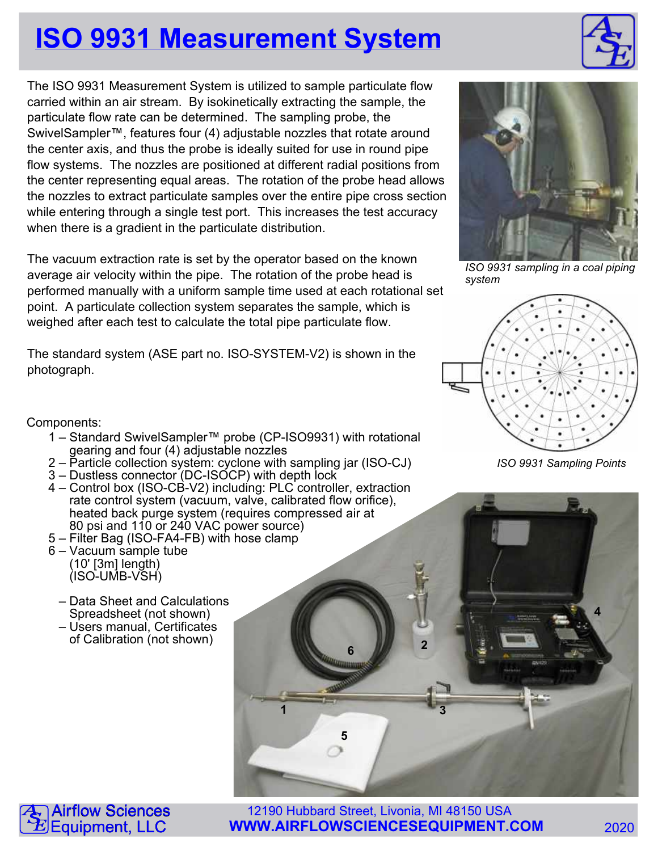## **ISO 9931 Measurement System**

The ISO 9931 Measurement System is utilized to sample particulate flow carried within an air stream. By isokinetically extracting the sample, the particulate flow rate can be determined. The sampling probe, the SwivelSampler™, features four (4) adjustable nozzles that rotate around the center axis, and thus the probe is ideally suited for use in round pipe flow systems. The nozzles are positioned at different radial positions from the center representing equal areas. The rotation of the probe head allows the nozzles to extract particulate samples over the entire pipe cross section while entering through a single test port. This increases the test accuracy when there is a gradient in the particulate distribution.

The vacuum extraction rate is set by the operator based on the known average air velocity within the pipe. The rotation of the probe head is performed manually with a uniform sample time used at each rotational set point. A particulate collection system separates the sample, which is weighed after each test to calculate the total pipe particulate flow.

The standard system (ASE part no. ISO-SYSTEM-V2) is shown in the photograph.

Components:

A  $\overline{\mathbf{S}}$  $\mathbf{\tilde{E}}$ 

- 1 Standard SwivelSampler™ probe (CP-ISO9931) with rotational gearing and four (4) adjustable nozzles
- 2 Particle collection system: cyclone with sampling jar (ISO-CJ)
- 3 Dustless connector (DC-ISOCP) with depth lock
- 4 Control box (ISO-CB-V2) including: PLC controller, extraction rate control system (vacuum, valve, calibrated flow orifice), heated back purge system (requires compressed air at 80 psi and 110 or 240 VAC power source)
- 5 Filter Bag (ISO-FA4-FB) with hose clamp
- 6 Vacuum sample tube (10' [3m] length) (ISO-UMB-VSH)
	- Data Sheet and Calculations Spreadsheet (not shown)
	- Users manual, Certificates of Calibration (not shown)



ISO 9931 sampling in a coal piping system



**2**

**1 3**

**6**

**5**

ISO 9931 Sampling Points

12190 Hubbard Street, Livonia, MI 48150 USA **WWW.AIRFLOWSCIENCESEQUIPMENT.COM** 2020 **irflow Sciences** Equipment, LLC



**4**